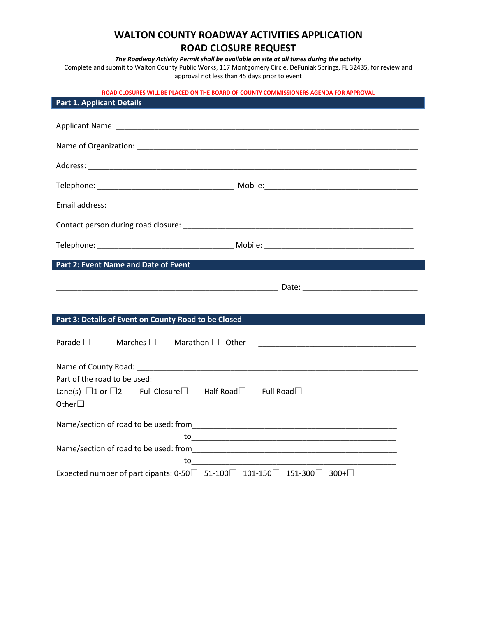# **WALTON COUNTY ROADWAY ACTIVITIES APPLICATION ROAD CLOSURE REQUEST**

*The Roadway Activity Permit shall be available on site at all times during the activity*

Complete and submit to Walton County Public Works, 117 Montgomery Circle, DeFuniak Springs, FL 32435, for review and approval not less than 45 days prior to event

**ROAD CLOSURES WILL BE PLACED ON THE BOARD OF COUNTY COMMISSIONERS AGENDA FOR APPROVAL**

| <b>Part 1. Applicant Details</b>                                                                                   |  |
|--------------------------------------------------------------------------------------------------------------------|--|
|                                                                                                                    |  |
|                                                                                                                    |  |
|                                                                                                                    |  |
|                                                                                                                    |  |
|                                                                                                                    |  |
|                                                                                                                    |  |
|                                                                                                                    |  |
|                                                                                                                    |  |
| Part 2: Event Name and Date of Event                                                                               |  |
|                                                                                                                    |  |
|                                                                                                                    |  |
| Part 3: Details of Event on County Road to be Closed                                                               |  |
| Parade $\square$                                                                                                   |  |
|                                                                                                                    |  |
| Part of the road to be used:<br>Lane(s) $\Box$ 1 or $\Box$ 2 Full Closure $\Box$ Half Road $\Box$ Full Road $\Box$ |  |
|                                                                                                                    |  |
|                                                                                                                    |  |
|                                                                                                                    |  |
|                                                                                                                    |  |
| Expected number of participants: 0-50 $\Box$ 51-100 $\Box$ 101-150 $\Box$ 151-300 $\Box$ 300+ $\Box$               |  |

Ι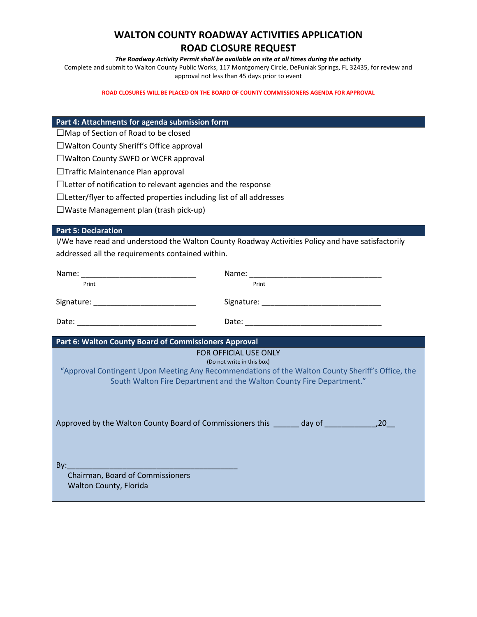# **WALTON COUNTY ROADWAY ACTIVITIES APPLICATION ROAD CLOSURE REQUEST**

#### *The Roadway Activity Permit shall be available on site at all times during the activity*

Complete and submit to Walton County Public Works, 117 Montgomery Circle, DeFuniak Springs, FL 32435, for review and approval not less than 45 days prior to event

**ROAD CLOSURES WILL BE PLACED ON THE BOARD OF COUNTY COMMISSIONERS AGENDA FOR APPROVAL**

### **Part 4: Attachments for agenda submission form**

☐Map of Section of Road to be closed

☐Walton County Sheriff's Office approval

☐Walton County SWFD or WCFR approval

□Traffic Maintenance Plan approval

□Letter of notification to relevant agencies and the response

☐Letter/flyer to affected properties including list of all addresses

☐Waste Management plan (trash pick-up)

### **Part 5: Declaration**

I/We have read and understood the Walton County Roadway Activities Policy and have satisfactorily addressed all the requirements contained within.

| Print                                                      | Print                                                                                                                                                                                                  |
|------------------------------------------------------------|--------------------------------------------------------------------------------------------------------------------------------------------------------------------------------------------------------|
|                                                            |                                                                                                                                                                                                        |
|                                                            |                                                                                                                                                                                                        |
| Part 6: Walton County Board of Commissioners Approval      |                                                                                                                                                                                                        |
|                                                            | FOR OFFICIAL USE ONLY                                                                                                                                                                                  |
|                                                            | (Do not write in this box)<br>"Approval Contingent Upon Meeting Any Recommendations of the Walton County Sheriff's Office, the<br>South Walton Fire Department and the Walton County Fire Department." |
|                                                            |                                                                                                                                                                                                        |
| Chairman, Board of Commissioners<br>Walton County, Florida |                                                                                                                                                                                                        |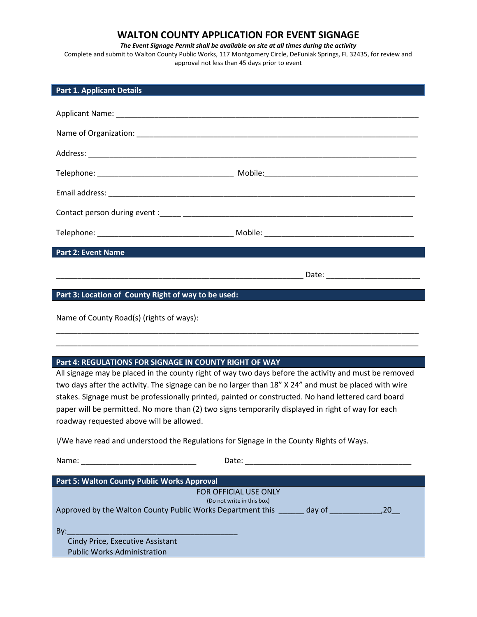## **WALTON COUNTY APPLICATION FOR EVENT SIGNAGE**

*The Event Signage Permit shall be available on site at all times during the activity*

Complete and submit to Walton County Public Works, 117 Montgomery Circle, DeFuniak Springs, FL 32435, for review and approval not less than 45 days prior to event

| <b>Part 1. Applicant Details</b>                                                                    |                                                                                                       |
|-----------------------------------------------------------------------------------------------------|-------------------------------------------------------------------------------------------------------|
|                                                                                                     |                                                                                                       |
|                                                                                                     |                                                                                                       |
|                                                                                                     |                                                                                                       |
|                                                                                                     |                                                                                                       |
|                                                                                                     |                                                                                                       |
|                                                                                                     |                                                                                                       |
|                                                                                                     |                                                                                                       |
|                                                                                                     |                                                                                                       |
| <b>Part 2: Event Name</b>                                                                           |                                                                                                       |
|                                                                                                     |                                                                                                       |
| Part 3: Location of County Right of way to be used:                                                 | <u> 1989 - Johann John Stein, marwolaethau (b. 1989)</u>                                              |
|                                                                                                     |                                                                                                       |
| Name of County Road(s) (rights of ways):                                                            |                                                                                                       |
|                                                                                                     |                                                                                                       |
|                                                                                                     |                                                                                                       |
| Part 4: REGULATIONS FOR SIGNAGE IN COUNTY RIGHT OF WAY                                              |                                                                                                       |
|                                                                                                     | All signage may be placed in the county right of way two days before the activity and must be removed |
|                                                                                                     | two days after the activity. The signage can be no larger than 18" X 24" and must be placed with wire |
| stakes. Signage must be professionally printed, painted or constructed. No hand lettered card board |                                                                                                       |
| paper will be permitted. No more than (2) two signs temporarily displayed in right of way for each  |                                                                                                       |
| roadway requested above will be allowed.                                                            |                                                                                                       |
| I/We have read and understood the Regulations for Signage in the County Rights of Ways.             |                                                                                                       |
| Name:                                                                                               |                                                                                                       |

| <b>Part 5: Walton County Public Works Approval</b>                   |  |
|----------------------------------------------------------------------|--|
| FOR OFFICIAL USE ONLY                                                |  |
| (Do not write in this box)                                           |  |
| Approved by the Walton County Public Works Department this<br>day of |  |
|                                                                      |  |
| Bv:                                                                  |  |
| Cindy Price, Executive Assistant                                     |  |
| <b>Public Works Administration</b>                                   |  |